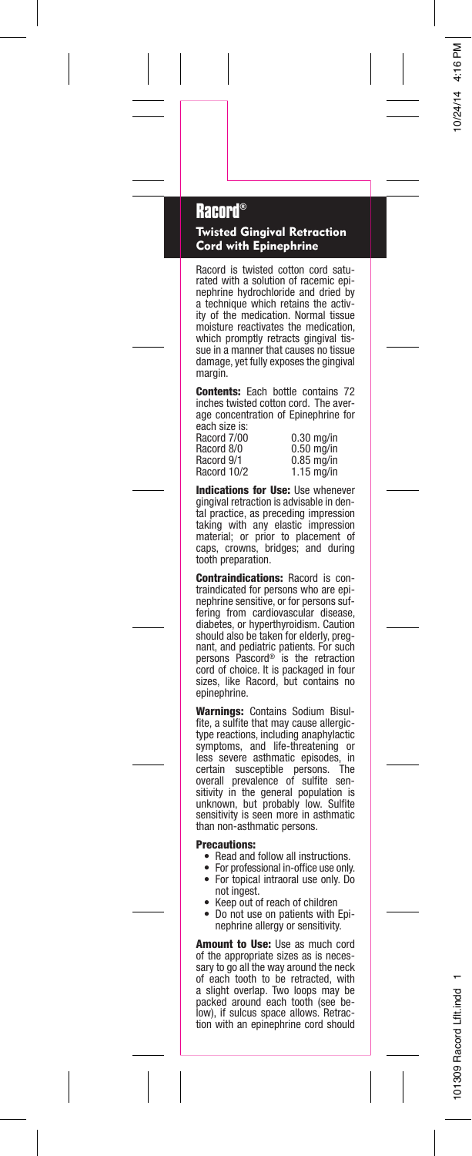## **Racord®**

Twisted Gingival Retraction Cord with Epinephrine

Racord is twisted cotton cord saturated with a solution of racemic epinephrine hydrochloride and dried by a technique which retains the activity of the medication. Normal tissue moisture reactivates the medication, which promptly retracts gingival tis-sue in a manner that causes no tissue damage, yet fully exposes the gingival margin.

Contents: Each bottle contains 72 inches twisted cotton cord. The average concentration of Epinephrine for each size is:

Racord 7/00<br>Racord 8/0 Racord 7/00 0.30 mg/in<br>Racord 8/0 0.50 mg/in<br>Racord 9/1 0.85 mg/in Racord 9/1 0.85 mg/in<br>Racord 10/2 1.15 mg/in  $1.15$  mg/in

Indications for Use: Use whenever gingival retraction is advisable in dental practice, as preceding impression taking with any elastic impression material; or prior to placement of caps, crowns, bridges; and during tooth preparation.

**Contraindications:** Racord is con-<br>traindicated for persons who are epi-<br>nephrine sensitive, or for persons suffering from cardiovascular disease, diabetes, or hyperthyroidism. Caution should also be taken for elderly, pregnant, and pediatric patients. For such persons Pascord® is the retraction cord of choice. It is packaged in four sizes, like Racord, but contains no epinephrine.

Warnings: Contains Sodium Bisulfite, a sulfite that may cause allergictype reactions, including anaphylactic symptoms, and life-threatening or less severe asthmatic episodes, in<br>certain susceptible persons. The<br>overall prevalence of sulfite sen-<br>sitivity in the general population is<br>unknown, but probably low. Sulfite<br>sensitivity is seen more in asthmatic than non-asthmatic persons.

## Precautions:

- •Read and follow all instructions.
- • For professional in-office use only. For topical intraoral use only. Do •not ingest.
- •Keep out of reach of children
- • Do not use on patients with Epinephrine allergy or sensitivity.

Amount to Use: Use as much cord of the appropriate sizes as is necessary to go all the way around the neck of each tooth to be retracted, with a slight overlap. Two loops may be packed around each tooth (see below), if sulcus space allows. Retraction with an epinephrine cord should